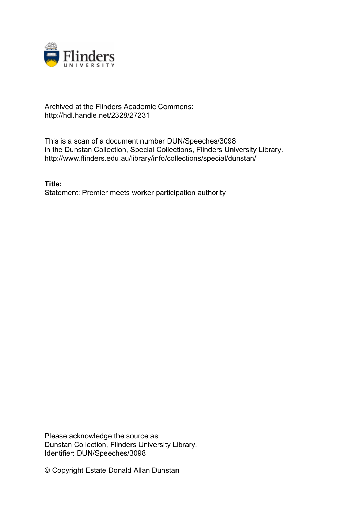

## Archived at the Flinders Academic Commons: http://hdl.handle.net/2328/27231

This is a scan of a document number DUN/Speeches/3098 in the Dunstan Collection, Special Collections, Flinders University Library. http://www.flinders.edu.au/library/info/collections/special/dunstan/

**Title:** Statement: Premier meets worker participation authority

Please acknowledge the source as: Dunstan Collection, Flinders University Library. Identifier: DUN/Speeches/3098

© Copyright Estate Donald Allan Dunstan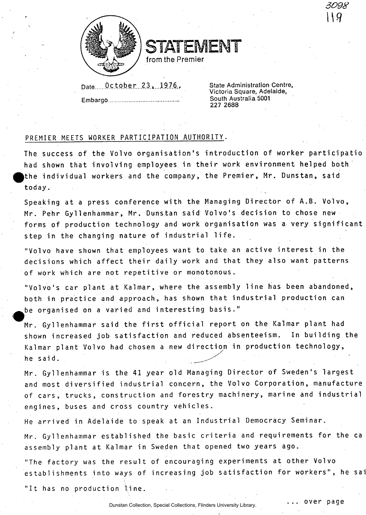

STATEMENT

from the Premier

Date 0ctober 23, 1976,

**Embargo** 

**State Administration Centre, Victoria Square, Adelaide, South Australia 5001 227 2688** 

*3098* 

. over page

## PREMIER MEETS WORKER PARTICIPATION AUTHORITY.

The success of the Volvo organisation's introduction of worker participatio had shown that involving employees in their work environment helped both the individual workers and the company, the Premier, Mr. Dunstan, said today .

Speaking at a press conference with the Managing Director of A.B. Volvo, Mr. Pehr Gyllenhammar, Mr. Dunstan said Volvo's decision to chose new forms of production technology and work organisation was a very significant step in the changing nature of industrial life.

"Volvo have shown that employees want to take an active interest in the decisions which affect their daily work and that they also want patterns of work which are not repetitive or monotonous.

"Volvo's car plant at Kalmar, where the assembly line has been abandoned, both in practice and approach, has shown that industrial production can be organised on a varied and interesting basis."

Mr. Gyllenhammar said the first official report on the Kalmar plant had<br>shown increased job satisfaction and reduced absenteeism. In building the Kalmar plant Volvo had chosen a new direction in production technology,  $\mathcal{A}$  replaces n a new direction n a new direction n in production n in production n technology , we directly  $\mathcal{A}$ 

h e s a i d'an deus de la comparación de la comparación de la comparación de la comparación de la comparación<br>En la comparación de la comparación de la comparación de la comparación de la comparación de la comparación de Mr. Gyllenhammar is the 41 year old Managing Director of Sweden's largest and most diversified industrial concern, the Volvo Corporation, manufacture of cars, trucks, construction and forestry machinery, marine and industrial engines, buses and cross country vehicles.

He arrived in Adelaide to speak at an Industrial Democracy Seminar.

Mr. Gyllenhammar established the basic criteria and requirements for the ca assembly plant at Kalmar in Sweden that opened two years ago.

"The factory was the result of encouraging experiments at other Volvo establishments into ways of increasing job satisfaction for workers", he sai

"It has no production line.

W

Dunstan Collection, Special Collections, Flinders University Library.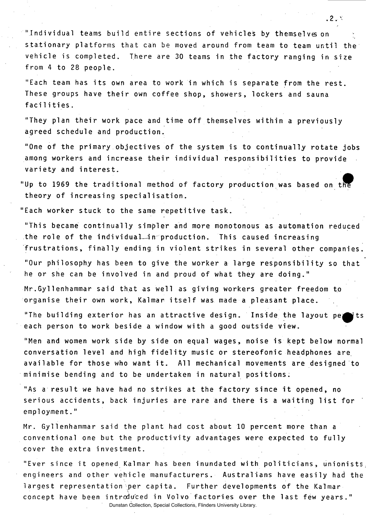"Individual teams build entire sections of vehicles by themselves on stationary platforms that can be moved around from team to team until the vehicle is completed. There are 30 teams in the factory ranging in size from  $4$  to  $28$  people.

"Each team has its own area to work in which is separate from the rest. These groups have their own coffee shop, showers, lockers and sauna facilities .

"They plan their work pace and time off themselves within a previously agreed schedule and production.

"One of the primary objectives of the system is to continually rotate jobs among workers and increase their individual responsibilities to provide variety and interest.

"Up to 1969 the traditional method of factory production was based on th theory of increasing specialisation.

"Each worker stuck to the same repetitive task.

"This became continually simpler and more monotonous as automation reduced the role of the individual in production. This caused increasing frustrations, finally ending in violent strikes in several other companies.

"Our philosophy has been to give the worker a large responsibility so that he or she can be involved in and proud of what they are doing."

Mr. Gyllenhammar said that as well as giving workers greater freedom to organise their own work, Kalmar itself was made a pleasant place.

"The building exterior has an attractive design. Inside the layout pertits each person to work beside a window with a good outside view.

"Men and women work side by side on equal wages, noise is kept below normal conversation level and high fidelity music or stereofonic headphones are available for those who want it. All mechanical movements are designed to minimise bending and to be undertaken in natural positions.

"As a result we have had no strikes at the factory since it opened, no serious accidents, back injuries are rare and there is a waiting list for employment. "

Mr. Gyllenhammar said the plant had cost about 10 percent more than a conventional one but the productivity advantages were expected to fully cover the extra investment.

"Ever since it opened Kalmar has been inundated with politicians, unionists engineers and other vehicle manufacturers. Australians have easily had the largest representation per capita. Further developments of the Kalmar concept have been introduced in Volvo factories over the last few years." Dunstan Collection, Special Collections, Flinders University Library.

. 2 .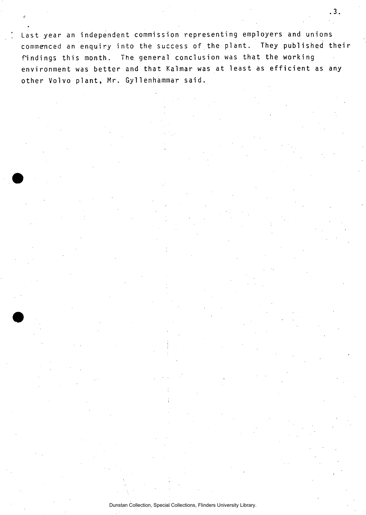Last year an independent commission representing employers and unions commenced an enquiry into the success of the plant. They published their findings this month. The general conclusion was that the working environment was better and that Kalmar was at least as efficient as any other Volvo plant, Mr. Gyllenhammar said.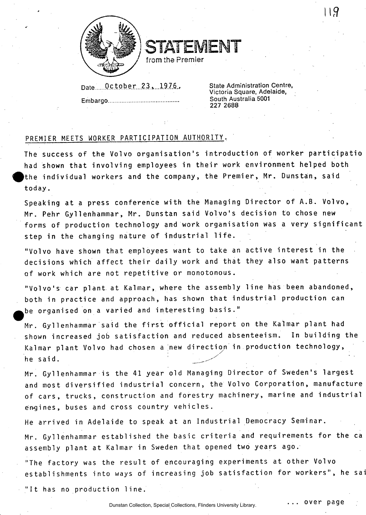

STATEMENT

**/ from the Premier** */* 

**Date. October . 2.3^...19.7.6.** 

**Embargo** 

**State Administration Centre, Victoria Square, Adelaide, South Australia 5001 227 2688** 

119

## PREMIER MEETS WORKER PARTICIPATION AUTHORITY.

The success of the Volvo organisation's introduction of worker participatio had shown that involving employees in their work environment helped both )the individual workers and the company, the Premier, Mr. Dunstan, said today .

Speaking at a press conference with the Managing Director of A.B. Volvo, Mr. Pehr Gyllenhammar, Mr. Dunstan said Volvo's decision to chose new forms of production technology and work organisation was a very significant step in the changing nature of industrial life.

"Volvo have shown that employees want to take an active interest in the decisions which affect their daily work and that they also want patterns of work which are not repetitive or monotonous.

"Volvo's car plant at Kalmar, where the assembly line has been abandoned, both in practice and approach, has shown that industrial production can be organised on a varied and interesting basis."

Mr. Gyllenhammar said the first official report on the Kalmar plant had shown increased job satisfaction and reduced absenteeism. In building the Kalmar plant Volvo had chosen a new direction in production technology, he said.

Mr. Gyllenhammar is the 41 year old Managing Director of Sweden's largest and most diversified industrial concern, the Volvo Corporation, manufacture of cars, trucks, construction and forestry machinery, marine and industrial engines, buses and cross country vehicles.

He arrived in Adelaide to speak at an Industrial Democracy Seminar.

Mr. Gyllenhammar established the basic criteria and requirements for the ca assembly plant at Kalmar in Sweden that opened two years ago.

"The factory was the result of encouraging experiments at other Volvo establishments into ways of increasing job satisfaction for workers", he sai

"It has no production line.

Dunstan Collection, Special Collections, Flinders University Library.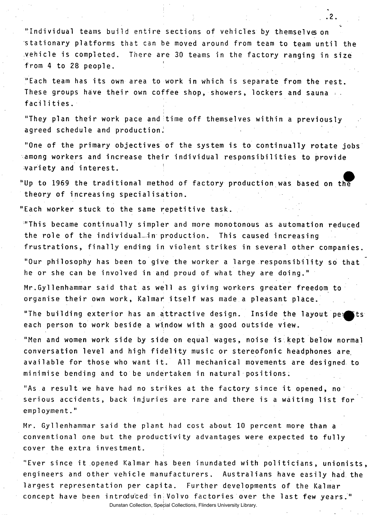"Individual teams build entire sections of vehicles by themselves on stationary platforms that can be moved around from team to team until the vehicle is completed. There are 30 teams in the factory ranging in size from 4 to 28 people.

**. 2 .** 

"Each team has its own area to work in which is separate from the rest. These groups have their own coffee shop, showers, lockers and sauna  $\ldots$ facilities.

"They plan their work pace and time off themselves within a previously agreed schedule and production.

"One of the primary objectives of the system is to continually rotate jobs among workers and increase their individual responsibilities to provide wariety and interest. the control of the control of

"Up to 1969 the traditional method of factory production was based on the theory of increasing specialisation.

"Each worker stuck to the same repetitive task.

 $\cdot$  This became continually simpler and more monotonous as automation reduced the role of the individual-in production. This caused increasing frustrations, finally ending in violent strikes in several other companies.

"Our philosophy has been to give the worker a large responsibility so that he or she can be involved in and proud of what they are doing."

Mr.Gyllenhammar said that as well as giving workers greater freedom to organise their own work, Kalmar itself was made a pleasant place.

"The building exterior has an attractive design. Inside the layout pe; each person to work beside a window with a good outside view.

"Men and women work side by side on equal wages, noise is kept below normal conversation level and high fidelity music or stereofonic headphones are available for those who want it. All mechanical movements are designed to minimise bending and to be undertaken in natural positions.

"As a result we have had no strikes at the factory since it opened, no serious accidents, back injuries are rare and there is a waiting list for employment. "

Mr. Gyllenhammar said the plant had cost about 10 percent more than a conventional one but the productivity advantages were expected to fully cover the extra investment.

"Ever since it opened Kalmar has been inundated with politicians, unionists, engineers and other vehicle manufacturers. Australians have easily had the largest representation per capita. Further developments of the Kalmar concept have been introduced in Volvo factories over the last few years."

Dunstan Collection, Special Collections, Flinders University Library.